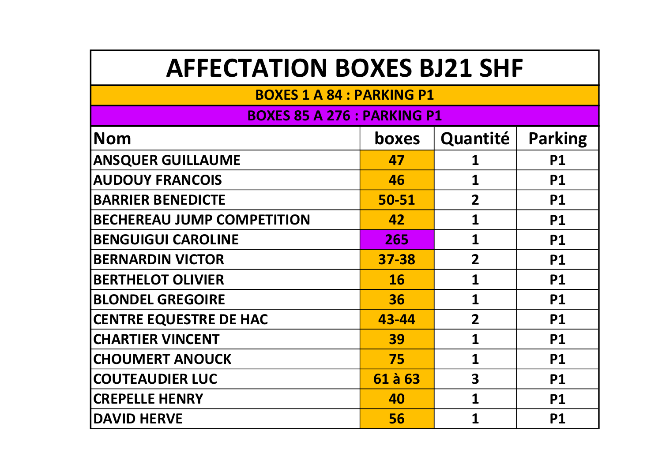# AFFECTATION BOXES BJ21 SHF

### BOXES 1 A 84 : PARKING P1

### BOXES 85 A 276 : PARKING P1

| Nom                               | <b>boxes</b> | Quantité                | <b>Parking</b> |
|-----------------------------------|--------------|-------------------------|----------------|
| <b>ANSQUER GUILLAUME</b>          | 47           | 1                       | <b>P1</b>      |
| <b>AUDOUY FRANCOIS</b>            | 46           | 1                       | <b>P1</b>      |
| <b>BARRIER BENEDICTE</b>          | 50-51        | $\overline{2}$          | <b>P1</b>      |
| <b>BECHEREAU JUMP COMPETITION</b> | 42           | $\mathbf 1$             | <b>P1</b>      |
| <b>BENGUIGUI CAROLINE</b>         | 265          | $\mathbf{1}$            | <b>P1</b>      |
| <b>BERNARDIN VICTOR</b>           | 37-38        | $\overline{2}$          | <b>P1</b>      |
| <b>BERTHELOT OLIVIER</b>          | 16           | 1                       | <b>P1</b>      |
| <b>BLONDEL GREGOIRE</b>           | 36           | 1                       | <b>P1</b>      |
| <b>CENTRE EQUESTRE DE HAC</b>     | 43-44        | $\overline{2}$          | <b>P1</b>      |
| <b>CHARTIER VINCENT</b>           | 39           | 1                       | <b>P1</b>      |
| <b>CHOUMERT ANOUCK</b>            | 75           | $\mathbf 1$             | <b>P1</b>      |
| <b>COUTEAUDIER LUC</b>            | 61 à 63      | $\overline{\mathbf{3}}$ | <b>P1</b>      |
| <b>CREPELLE HENRY</b>             | 40           | 1                       | <b>P1</b>      |
| <b>DAVID HERVE</b>                | 56           | 1                       | <b>P1</b>      |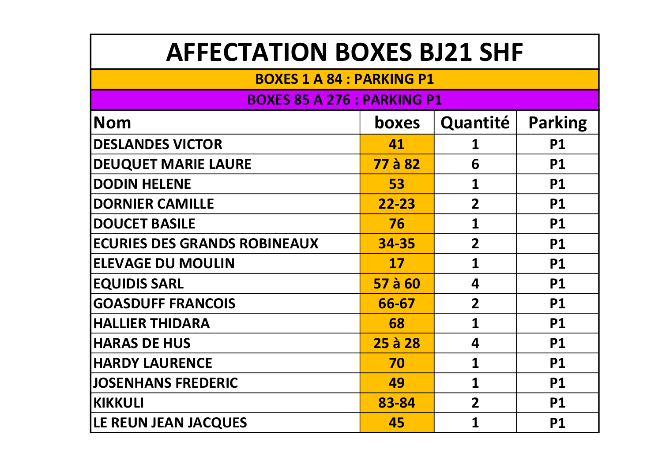# AFFECTATION BOXES BJ21 SHF

#### BOXES 1 A 84 : PARKING P1

#### BOXES 85 A 276 : PARKING P1

| <b>Nom</b>                          | boxes     | Quantité                | <b>Parking</b> |
|-------------------------------------|-----------|-------------------------|----------------|
| <b>DESLANDES VICTOR</b>             | 41        | 1                       | <b>P1</b>      |
| <b>DEUQUET MARIE LAURE</b>          | 77 à 82   | 6                       | <b>P1</b>      |
| <b>DODIN HELENE</b>                 | 53        | $\mathbf{1}$            | <b>P1</b>      |
| <b>DORNIER CAMILLE</b>              | $22 - 23$ | $\overline{2}$          | <b>P1</b>      |
| <b>DOUCET BASILE</b>                | 76        | 1                       | <b>P1</b>      |
| <b>ECURIES DES GRANDS ROBINEAUX</b> | 34-35     | $\overline{2}$          | <b>P1</b>      |
| <b>ELEVAGE DU MOULIN</b>            | 17        | 1                       | <b>P1</b>      |
| <b>EQUIDIS SARL</b>                 | 57 à 60   | $\overline{\mathbf{4}}$ | <b>P1</b>      |
| <b>GOASDUFF FRANCOIS</b>            | 66-67     | $\overline{2}$          | <b>P1</b>      |
| <b>HALLIER THIDARA</b>              | 68        | 1                       | <b>P1</b>      |
| <b>HARAS DE HUS</b>                 | 25 à 28   | 4                       | <b>P1</b>      |
| <b>HARDY LAURENCE</b>               | 70        | 1                       | <b>P1</b>      |
| <b>JOSENHANS FREDERIC</b>           | 49        | $\mathbf 1$             | <b>P1</b>      |
| <b>KIKKULI</b>                      | 83-84     | $\overline{2}$          | <b>P1</b>      |
| <b>LE REUN JEAN JACQUES</b>         | 45        | 1                       | <b>P1</b>      |